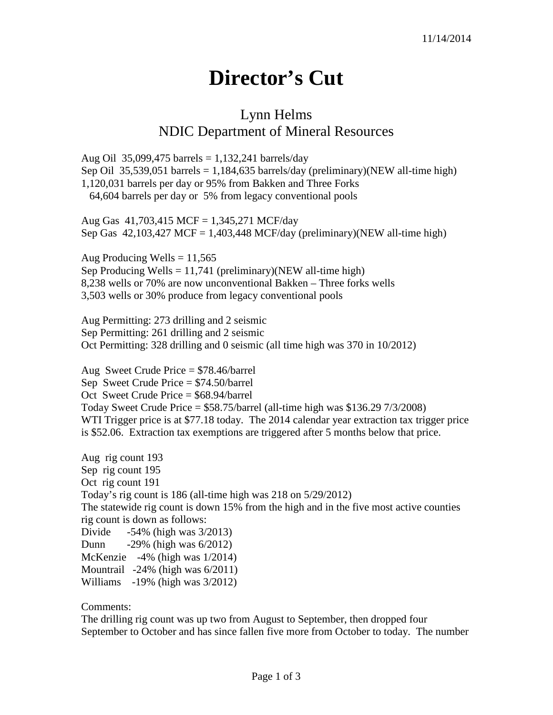## **Director's Cut**

## Lynn Helms NDIC Department of Mineral Resources

Aug Oil 35,099,475 barrels =  $1,132,241$  barrels/day Sep Oil 35,539,051 barrels = 1,184,635 barrels/day (preliminary)(NEW all-time high) 1,120,031 barrels per day or 95% from Bakken and Three Forks 64,604 barrels per day or 5% from legacy conventional pools

Aug Gas 41,703,415 MCF = 1,345,271 MCF/day Sep Gas  $42,103,427$  MCF = 1,403,448 MCF/day (preliminary)(NEW all-time high)

Aug Producing Wells  $= 11,565$ Sep Producing Wells  $= 11,741$  (preliminary)(NEW all-time high) 8,238 wells or 70% are now unconventional Bakken – Three forks wells 3,503 wells or 30% produce from legacy conventional pools

Aug Permitting: 273 drilling and 2 seismic Sep Permitting: 261 drilling and 2 seismic Oct Permitting: 328 drilling and 0 seismic (all time high was 370 in 10/2012)

Aug Sweet Crude Price = \$78.46/barrel Sep Sweet Crude Price = \$74.50/barrel Oct Sweet Crude Price = \$68.94/barrel Today Sweet Crude Price = \$58.75/barrel (all-time high was \$136.29 7/3/2008) WTI Trigger price is at \$77.18 today. The 2014 calendar year extraction tax trigger price is \$52.06. Extraction tax exemptions are triggered after 5 months below that price.

Aug rig count 193 Sep rig count 195 Oct rig count 191 Today's rig count is 186 (all-time high was 218 on 5/29/2012) The statewide rig count is down 15% from the high and in the five most active counties rig count is down as follows: Divide -54% (high was 3/2013) Dunn -29% (high was 6/2012) McKenzie -4% (high was 1/2014) Mountrail -24% (high was 6/2011) Williams -19% (high was 3/2012)

Comments:

The drilling rig count was up two from August to September, then dropped four September to October and has since fallen five more from October to today. The number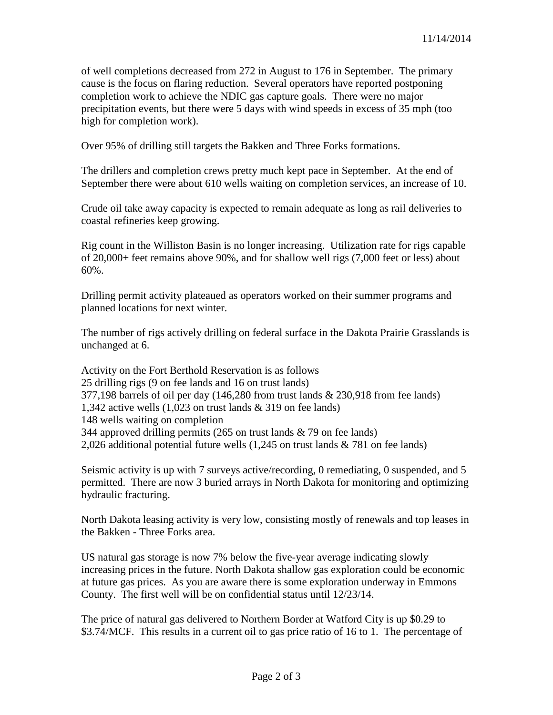of well completions decreased from 272 in August to 176 in September. The primary cause is the focus on flaring reduction. Several operators have reported postponing completion work to achieve the NDIC gas capture goals. There were no major precipitation events, but there were 5 days with wind speeds in excess of 35 mph (too high for completion work).

Over 95% of drilling still targets the Bakken and Three Forks formations.

The drillers and completion crews pretty much kept pace in September. At the end of September there were about 610 wells waiting on completion services, an increase of 10.

Crude oil take away capacity is expected to remain adequate as long as rail deliveries to coastal refineries keep growing.

Rig count in the Williston Basin is no longer increasing. Utilization rate for rigs capable of 20,000+ feet remains above 90%, and for shallow well rigs (7,000 feet or less) about 60%.

Drilling permit activity plateaued as operators worked on their summer programs and planned locations for next winter.

The number of rigs actively drilling on federal surface in the Dakota Prairie Grasslands is unchanged at 6.

Activity on the Fort Berthold Reservation is as follows 25 drilling rigs (9 on fee lands and 16 on trust lands) 377,198 barrels of oil per day (146,280 from trust lands & 230,918 from fee lands) 1,342 active wells (1,023 on trust lands & 319 on fee lands) 148 wells waiting on completion 344 approved drilling permits (265 on trust lands & 79 on fee lands) 2,026 additional potential future wells (1,245 on trust lands & 781 on fee lands)

Seismic activity is up with 7 surveys active/recording, 0 remediating, 0 suspended, and 5 permitted. There are now 3 buried arrays in North Dakota for monitoring and optimizing hydraulic fracturing.

North Dakota leasing activity is very low, consisting mostly of renewals and top leases in the Bakken - Three Forks area.

US natural gas storage is now 7% below the five-year average indicating slowly increasing prices in the future. North Dakota shallow gas exploration could be economic at future gas prices. As you are aware there is some exploration underway in Emmons County. The first well will be on confidential status until 12/23/14.

The price of natural gas delivered to Northern Border at Watford City is up \$0.29 to \$3.74/MCF. This results in a current oil to gas price ratio of 16 to 1. The percentage of